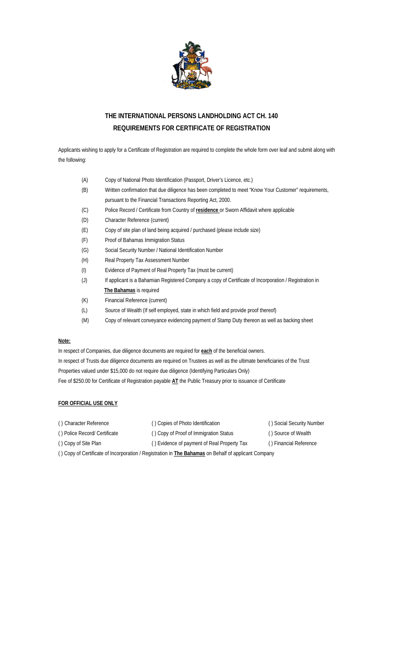

## **THE INTERNATIONAL PERSONS LANDHOLDING ACT CH. 140 REQUIREMENTS FOR CERTIFICATE OF REGISTRATION**

Applicants wishing to apply for a Certificate of Registration are required to complete the whole form over leaf and submit along with the following:

| (A) | Copy of National Photo Identification (Passport, Driver's Licence, etc.) |
|-----|--------------------------------------------------------------------------|
|     |                                                                          |

- (B) Written confirmation that due diligence has been completed to meet "Know Your Customer" requirements, pursuant to the Financial Transactions Reporting Act, 2000.
- (C) Police Record / Certificate from Country of **residence** or Sworn Affidavit where applicable
- (D) Character Reference (current)
- (E) Copy of site plan of land being acquired / purchased (please include size)
- (F) Proof of Bahamas Immigration Status
- (G) Social Security Number / National Identification Number
- (H) Real Property Tax Assessment Number
- (I) Evidence of Payment of Real Property Tax (must be current)
- (J) If applicant is a Bahamian Registered Company a copy of Certificate of Incorporation / Registration in **The Bahamas** is required
- (K) Financial Reference (current)
- (L) Source of Wealth (If self employed, state in which field and provide proof thereof)
- (M) Copy of relevant conveyance evidencing payment of Stamp Duty thereon as well as backing sheet

## **Note:**

In respect of Companies, due diligence documents are required for **each** of the beneficial owners. In respect of Trusts due diligence documents are required on Trustees as well as the ultimate beneficiaries of the Trust Properties valued under \$15,000 do not require due diligence (Identifying Particulars Only) Fee of \$250.00 for Certificate of Registration payable **AT** the Public Treasury prior to issuance of Certificate

## **FOR OFFICIAL USE ONLY**

- ( ) Character Reference ( ) Copies of Photo Identification ( ) Social Security Number ( ) Police Record/ Certificate ( ) Copy of Proof of Immigration Status ( ) Source of Wealth
- ( ) Copy of Site Plan ( ) Evidence of payment of Real Property Tax ( ) Financial Reference
- 
- 

( ) Copy of Certificate of Incorporation / Registration in **The Bahamas** on Behalf of applicant Company